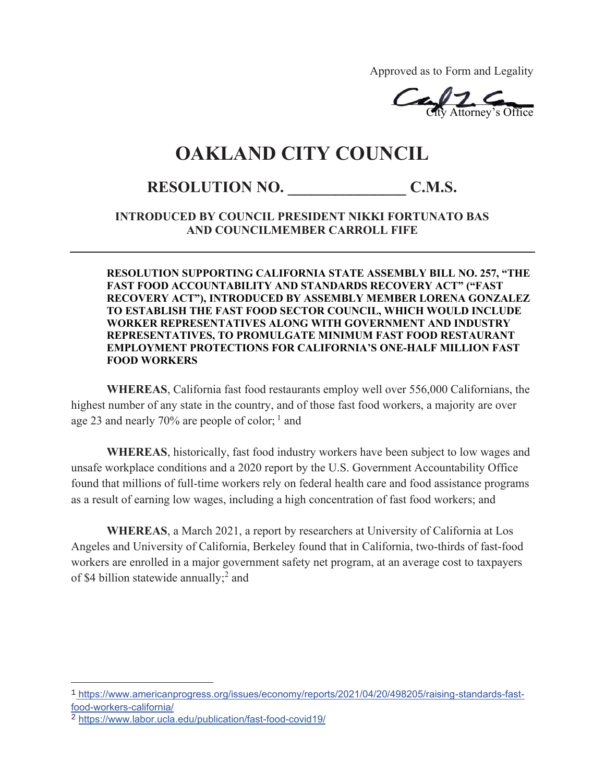Approved as to Form and Legality

 $CaV2.6$ City Attorney's Office  $CaV2.$ City Attorney's

## **OAKLAND CITY COUNCIL**

## **RESOLUTION NO. \_\_\_\_\_\_\_\_\_\_\_\_\_\_\_ C.M.S.**

**INTRODUCED BY COUNCIL PRESIDENT NIKKI FORTUNATO BAS AND COUNCILMEMBER CARROLL FIFE** 

**RESOLUTION SUPPORTING CALIFORNIA STATE ASSEMBLY BILL NO. 257, "THE FAST FOOD ACCOUNTABILITY AND STANDARDS RECOVERY ACT" ("FAST RECOVERY ACT"), INTRODUCED BY ASSEMBLY MEMBER LORENA GONZALEZ TO ESTABLISH THE FAST FOOD SECTOR COUNCIL, WHICH WOULD INCLUDE WORKER REPRESENTATIVES ALONG WITH GOVERNMENT AND INDUSTRY REPRESENTATIVES, TO PROMULGATE MINIMUM FAST FOOD RESTAURANT EMPLOYMENT PROTECTIONS FOR CALIFORNIA'S ONE-HALF MILLION FAST FOOD WORKERS**

**WHEREAS**, California fast food restaurants employ well over 556,000 Californians, the highest number of any state in the country, and of those fast food workers, a majority are over age 23 and nearly 70% are people of color;  $<sup>1</sup>$  and</sup>

**WHEREAS**, historically, fast food industry workers have been subject to low wages and unsafe workplace conditions and a 2020 report by the U.S. Government Accountability Office found that millions of full-time workers rely on federal health care and food assistance programs as a result of earning low wages, including a high concentration of fast food workers; and

**WHEREAS**, a March 2021, a report by researchers at University of California at Los Angeles and University of California, Berkeley found that in California, two-thirds of fast-food workers are enrolled in a major government safety net program, at an average cost to taxpayers of \$4 billion statewide annually;<sup>2</sup> and

<sup>1</sup> https://www.americanprogress.org/issues/economy/reports/2021/04/20/498205/raising-standards-fastfood-workers-california/

<sup>2</sup> https://www.labor.ucla.edu/publication/fast-food-covid19/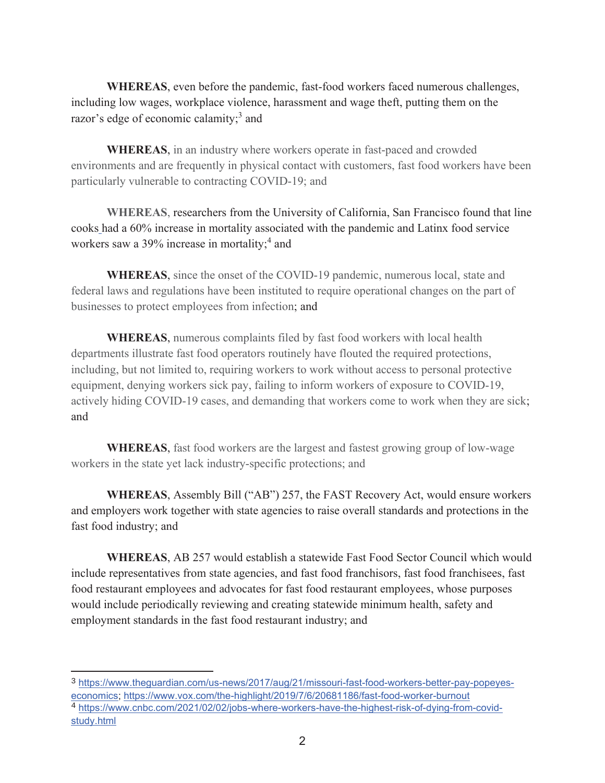**WHEREAS**, even before the pandemic, fast-food workers faced numerous challenges, including low wages, workplace violence, harassment and wage theft, putting them on the razor's edge of economic calamity;<sup>3</sup> and

**WHEREAS**, in an industry where workers operate in fast-paced and crowded environments and are frequently in physical contact with customers, fast food workers have been particularly vulnerable to contracting COVID-19; and

**WHEREAS**, researchers from the University of California, San Francisco found that line cooks had a 60% increase in mortality associated with the pandemic and Latinx food service workers saw a 39% increase in mortality;<sup>4</sup> and

**WHEREAS**, since the onset of the COVID-19 pandemic, numerous local, state and federal laws and regulations have been instituted to require operational changes on the part of businesses to protect employees from infection; and

**WHEREAS**, numerous complaints filed by fast food workers with local health departments illustrate fast food operators routinely have flouted the required protections, including, but not limited to, requiring workers to work without access to personal protective equipment, denying workers sick pay, failing to inform workers of exposure to COVID-19, actively hiding COVID-19 cases, and demanding that workers come to work when they are sick; and

**WHEREAS**, fast food workers are the largest and fastest growing group of low-wage workers in the state yet lack industry-specific protections; and

**WHEREAS**, Assembly Bill ("AB") 257, the FAST Recovery Act, would ensure workers and employers work together with state agencies to raise overall standards and protections in the fast food industry; and

**WHEREAS**, AB 257 would establish a statewide Fast Food Sector Council which would include representatives from state agencies, and fast food franchisors, fast food franchisees, fast food restaurant employees and advocates for fast food restaurant employees, whose purposes would include periodically reviewing and creating statewide minimum health, safety and employment standards in the fast food restaurant industry; and

<sup>3</sup> https://www.theguardian.com/us-news/2017/aug/21/missouri-fast-food-workers-better-pay-popeyeseconomics; https://www.vox.com/the-highlight/2019/7/6/20681186/fast-food-worker-burnout

<sup>4</sup> https://www.cnbc.com/2021/02/02/jobs-where-workers-have-the-highest-risk-of-dying-from-covidstudy.html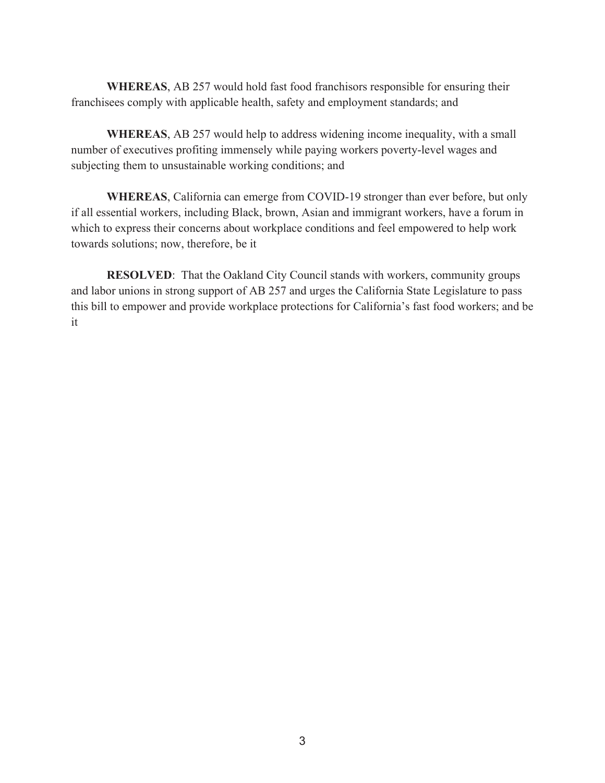**WHEREAS**, AB 257 would hold fast food franchisors responsible for ensuring their franchisees comply with applicable health, safety and employment standards; and

**WHEREAS**, AB 257 would help to address widening income inequality, with a small number of executives profiting immensely while paying workers poverty-level wages and subjecting them to unsustainable working conditions; and

**WHEREAS**, California can emerge from COVID-19 stronger than ever before, but only if all essential workers, including Black, brown, Asian and immigrant workers, have a forum in which to express their concerns about workplace conditions and feel empowered to help work towards solutions; now, therefore, be it

**RESOLVED:** That the Oakland City Council stands with workers, community groups and labor unions in strong support of AB 257 and urges the California State Legislature to pass this bill to empower and provide workplace protections for California's fast food workers; and be it